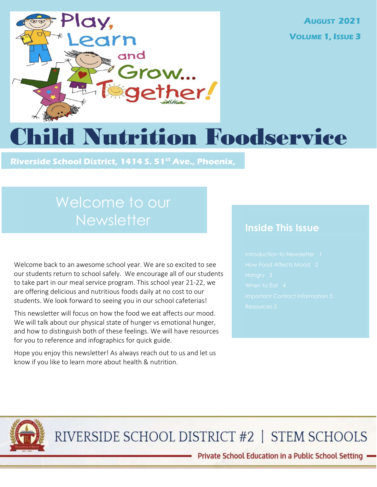

AUGUST 2021 VOLUME 1, ISSUE 3

# hild Nutrition Foodservice

Riverside School District, 1414 S. 51<sup>st</sup> Ave., Phoenix,

# Welcome to our **Newsletter**

AZ 85043 RESDONLINE.ORG

Welcome back to an awesome school year. We are so excited to see our students return to school safely. We encourage all of our students to take part in our meal service program. This school year 21-22, we are offering delicious and nutritious foods daily at no cost to our students. We look forward to seeing you in our school cafeterias!

This newsletter will focus on how the food we eat affects our mood. We will talk about our physical state of hunger vs emotional hunger, and how to distinguish both of these feelings. We will have resources for you to reference and infographics for quick guide.

Hope you enjoy this newsletter! As always reach out to us and let us know if you like to learn more about health & nutrition.

### Inside This Issue



RIVERSIDE SCHOOL DISTRICT #2 | STEM SCHOOLS

- Private School Education in a Public School Setting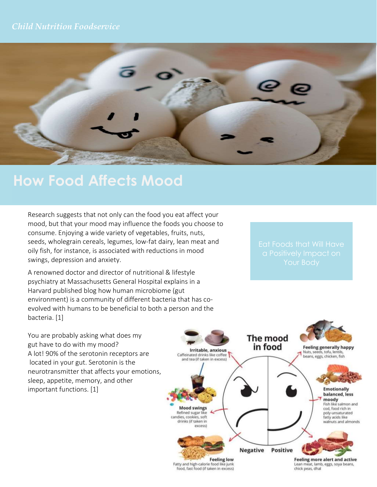### Child Nutrition Foodservice



# How Food Affects Mood

Research suggests that not only can the food you eat affect your mood, but that your mood may influence the foods you choose to consume. Enjoying a wide variety of vegetables, fruits, nuts, seeds, wholegrain cereals, legumes, low-fat dairy, lean meat and oily fish, for instance, is associated with reductions in mood swings, depression and anxiety.

A renowned doctor and director of nutritional & lifestyle psychiatry at Massachusetts General Hospital explains in a Harvard published blog how human microbiome (gut environment) is a community of different bacteria that has coevolved with humans to be beneficial to both a person and the bacteria. [1]

You are probably asking what does my gut have to do with my mood? A lot! 90% of the serotonin receptors are located in your gut. Serotonin is the neurotransmitter that affects your emotions, sleep, appetite, memory, and other important functions. [1]

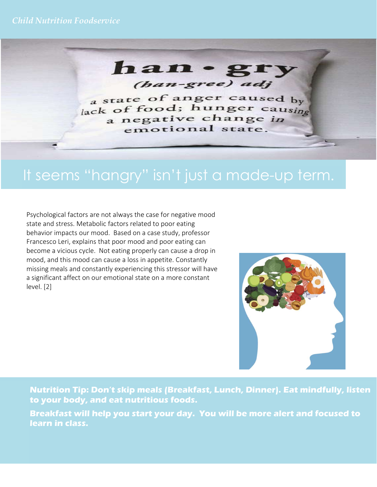han  $\sim$ (han-gree) adj

a state of anger caused by lack of food; hunger causing a negative change in emotional state.

# It seems "hangry" isn't just a made-up term.

Psychological factors are not always the case for negative mood state and stress. Metabolic factors related to poor eating behavior impacts our mood. Based on a case study, professor Francesco Leri, explains that poor mood and poor eating can become a vicious cycle. Not eating properly can cause a drop in mood, and this mood can cause a loss in appetite. Constantly missing meals and constantly experiencing this stressor will have a significant affect on our emotional state on a more constant level. [2]



Nutrition Tip: Don't skip meals (Breakfast, Lunch, Dinner). Eat mindfully, listen to your body, and eat nutritious foods.

Breakfast will help you start your day. You will be more alert and focused to learn in class.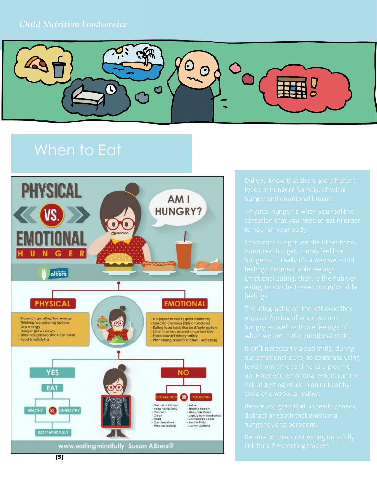

# When to Eat